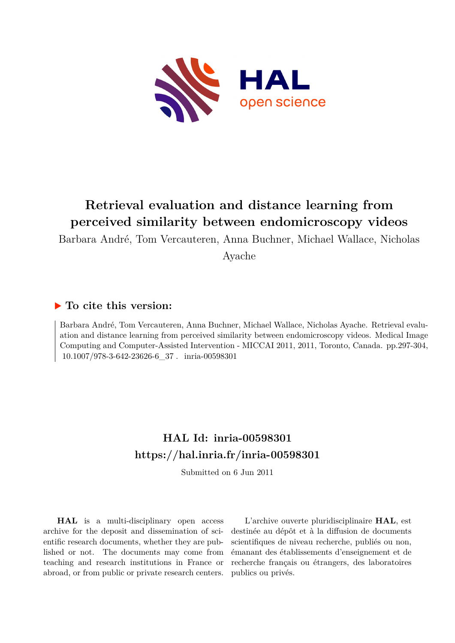

# **Retrieval evaluation and distance learning from perceived similarity between endomicroscopy videos**

Barbara André, Tom Vercauteren, Anna Buchner, Michael Wallace, Nicholas

Ayache

### **To cite this version:**

Barbara André, Tom Vercauteren, Anna Buchner, Michael Wallace, Nicholas Ayache. Retrieval evaluation and distance learning from perceived similarity between endomicroscopy videos. Medical Image Computing and Computer-Assisted Intervention - MICCAI 2011, 2011, Toronto, Canada. pp.297-304, 10.1007/978-3-642-23626-6\_37 . inria-00598301

## **HAL Id: inria-00598301 <https://hal.inria.fr/inria-00598301>**

Submitted on 6 Jun 2011

**HAL** is a multi-disciplinary open access archive for the deposit and dissemination of scientific research documents, whether they are published or not. The documents may come from teaching and research institutions in France or abroad, or from public or private research centers.

L'archive ouverte pluridisciplinaire **HAL**, est destinée au dépôt et à la diffusion de documents scientifiques de niveau recherche, publiés ou non, émanant des établissements d'enseignement et de recherche français ou étrangers, des laboratoires publics ou privés.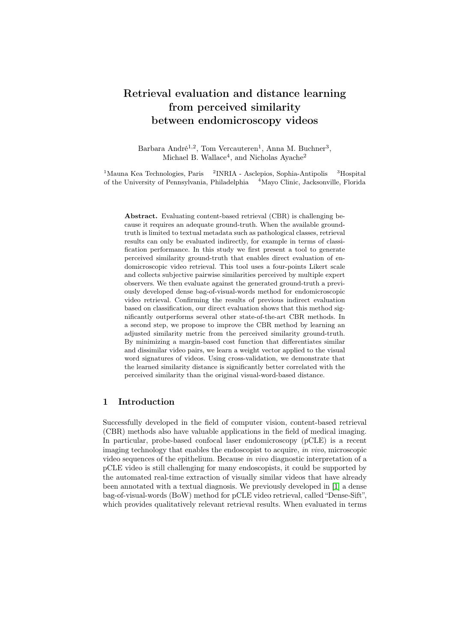## Retrieval evaluation and distance learning from perceived similarity between endomicroscopy videos

Barbara André<sup>1,2</sup>, Tom Vercauteren<sup>1</sup>, Anna M. Buchner<sup>3</sup>, Michael B. Wallace<sup>4</sup>, and Nicholas Ayache<sup>2</sup>

<sup>1</sup>Mauna Kea Technologies, Paris <sup>2</sup>INRIA - Asclepios, Sophia-Antipolis  $3H$ ospital of the University of Pennsylvania, Philadelphia <sup>4</sup>Mayo Clinic, Jacksonville, Florida

Abstract. Evaluating content-based retrieval (CBR) is challenging because it requires an adequate ground-truth. When the available groundtruth is limited to textual metadata such as pathological classes, retrieval results can only be evaluated indirectly, for example in terms of classification performance. In this study we first present a tool to generate perceived similarity ground-truth that enables direct evaluation of endomicroscopic video retrieval. This tool uses a four-points Likert scale and collects subjective pairwise similarities perceived by multiple expert observers. We then evaluate against the generated ground-truth a previously developed dense bag-of-visual-words method for endomicroscopic video retrieval. Confirming the results of previous indirect evaluation based on classification, our direct evaluation shows that this method significantly outperforms several other state-of-the-art CBR methods. In a second step, we propose to improve the CBR method by learning an adjusted similarity metric from the perceived similarity ground-truth. By minimizing a margin-based cost function that differentiates similar and dissimilar video pairs, we learn a weight vector applied to the visual word signatures of videos. Using cross-validation, we demonstrate that the learned similarity distance is significantly better correlated with the perceived similarity than the original visual-word-based distance.

#### 1 Introduction

Successfully developed in the field of computer vision, content-based retrieval (CBR) methods also have valuable applications in the field of medical imaging. In particular, probe-based confocal laser endomicroscopy (pCLE) is a recent imaging technology that enables the endoscopist to acquire, in vivo, microscopic video sequences of the epithelium. Because in vivo diagnostic interpretation of a pCLE video is still challenging for many endoscopists, it could be supported by the automated real-time extraction of visually similar videos that have already been annotated with a textual diagnosis. We previously developed in [\[1\]](#page-8-0) a dense bag-of-visual-words (BoW) method for pCLE video retrieval, called "Dense-Sift", which provides qualitatively relevant retrieval results. When evaluated in terms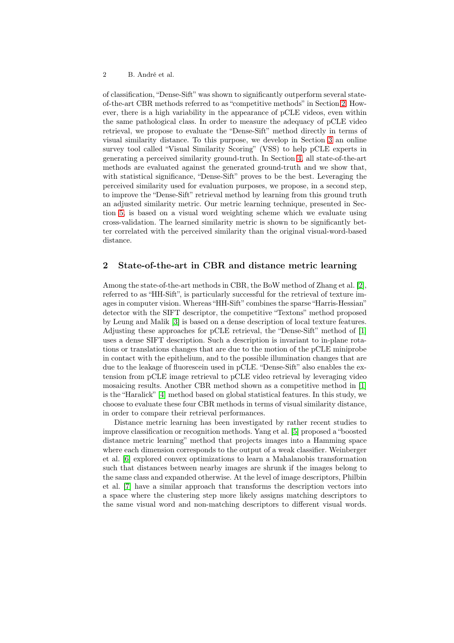#### 2 B. André et al.

of classification, "Dense-Sift" was shown to significantly outperform several stateof-the-art CBR methods referred to as "competitive methods" in Section [2.](#page-2-0) However, there is a high variability in the appearance of pCLE videos, even within the same pathological class. In order to measure the adequacy of pCLE video retrieval, we propose to evaluate the "Dense-Sift" method directly in terms of visual similarity distance. To this purpose, we develop in Section [3](#page-3-0) an online survey tool called "Visual Similarity Scoring" (VSS) to help pCLE experts in generating a perceived similarity ground-truth. In Section [4,](#page-4-0) all state-of-the-art methods are evaluated against the generated ground-truth and we show that, with statistical significance, "Dense-Sift" proves to be the best. Leveraging the perceived similarity used for evaluation purposes, we propose, in a second step, to improve the "Dense-Sift" retrieval method by learning from this ground truth an adjusted similarity metric. Our metric learning technique, presented in Section [5,](#page-6-0) is based on a visual word weighting scheme which we evaluate using cross-validation. The learned similarity metric is shown to be significantly better correlated with the perceived similarity than the original visual-word-based distance.

#### <span id="page-2-0"></span>2 State-of-the-art in CBR and distance metric learning

Among the state-of-the-art methods in CBR, the BoW method of Zhang et al. [\[2\]](#page-8-1), referred to as "HH-Sift", is particularly successful for the retrieval of texture images in computer vision. Whereas "HH-Sift" combines the sparse "Harris-Hessian" detector with the SIFT descriptor, the competitive "Textons" method proposed by Leung and Malik [\[3\]](#page-8-2) is based on a dense description of local texture features. Adjusting these approaches for pCLE retrieval, the "Dense-Sift" method of [\[1\]](#page-8-0) uses a dense SIFT description. Such a description is invariant to in-plane rotations or translations changes that are due to the motion of the pCLE miniprobe in contact with the epithelium, and to the possible illumination changes that are due to the leakage of fluorescein used in pCLE. "Dense-Sift" also enables the extension from pCLE image retrieval to pCLE video retrieval by leveraging video mosaicing results. Another CBR method shown as a competitive method in [\[1\]](#page-8-0) is the "Haralick" [\[4\]](#page-8-3) method based on global statistical features. In this study, we choose to evaluate these four CBR methods in terms of visual similarity distance, in order to compare their retrieval performances.

Distance metric learning has been investigated by rather recent studies to improve classification or recognition methods. Yang et al. [\[5\]](#page-8-4) proposed a "boosted distance metric learning" method that projects images into a Hamming space where each dimension corresponds to the output of a weak classifier. Weinberger et al. [\[6\]](#page-8-5) explored convex optimizations to learn a Mahalanobis transformation such that distances between nearby images are shrunk if the images belong to the same class and expanded otherwise. At the level of image descriptors, Philbin et al. [\[7\]](#page-8-6) have a similar approach that transforms the description vectors into a space where the clustering step more likely assigns matching descriptors to the same visual word and non-matching descriptors to different visual words.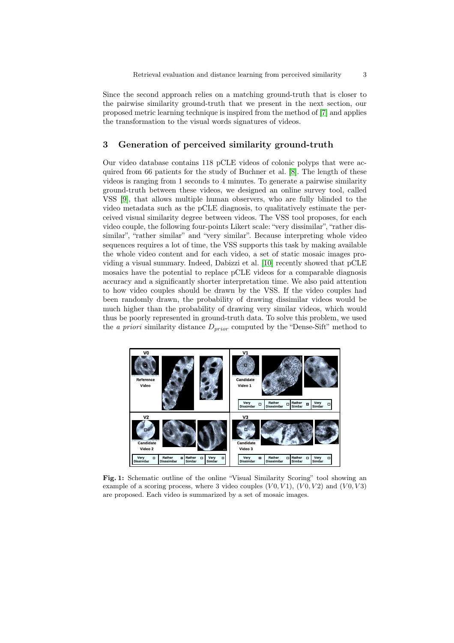Since the second approach relies on a matching ground-truth that is closer to the pairwise similarity ground-truth that we present in the next section, our proposed metric learning technique is inspired from the method of [\[7\]](#page-8-6) and applies the transformation to the visual words signatures of videos.

#### <span id="page-3-0"></span>3 Generation of perceived similarity ground-truth

Our video database contains 118 pCLE videos of colonic polyps that were acquired from 66 patients for the study of Buchner et al. [\[8\]](#page-8-7). The length of these videos is ranging from 1 seconds to 4 minutes. To generate a pairwise similarity ground-truth between these videos, we designed an online survey tool, called VSS [\[9\]](#page-8-8), that allows multiple human observers, who are fully blinded to the video metadata such as the pCLE diagnosis, to qualitatively estimate the perceived visual similarity degree between videos. The VSS tool proposes, for each video couple, the following four-points Likert scale: "very dissimilar", "rather dissimilar", "rather similar" and "very similar". Because interpreting whole video sequences requires a lot of time, the VSS supports this task by making available the whole video content and for each video, a set of static mosaic images providing a visual summary. Indeed, Dabizzi et al. [\[10\]](#page-8-9) recently showed that pCLE mosaics have the potential to replace pCLE videos for a comparable diagnosis accuracy and a significantly shorter interpretation time. We also paid attention to how video couples should be drawn by the VSS. If the video couples had been randomly drawn, the probability of drawing dissimilar videos would be much higher than the probability of drawing very similar videos, which would thus be poorly represented in ground-truth data. To solve this problem, we used the *a priori* similarity distance  $D_{prior}$  computed by the "Dense-Sift" method to

<span id="page-3-1"></span>

Fig. 1: Schematic outline of the online "Visual Similarity Scoring" tool showing an example of a scoring process, where 3 video couples  $(V0, V1)$ ,  $(V0, V2)$  and  $(V0, V3)$ are proposed. Each video is summarized by a set of mosaic images.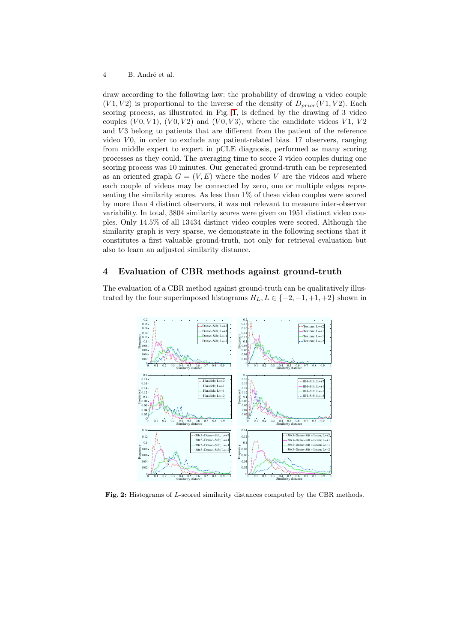#### 4 B. André et al.

draw according to the following law: the probability of drawing a video couple  $(V1, V2)$  is proportional to the inverse of the density of  $D_{prior}(V1, V2)$ . Each scoring process, as illustrated in Fig. [1,](#page-3-1) is defined by the drawing of 3 video couples  $(V0, V1)$ ,  $(V0, V2)$  and  $(V0, V3)$ , where the candidate videos  $V1$ ,  $V2$ and  $V3$  belong to patients that are different from the patient of the reference video  $V0$ , in order to exclude any patient-related bias. 17 observers, ranging from middle expert to expert in pCLE diagnosis, performed as many scoring processes as they could. The averaging time to score 3 video couples during one scoring process was 10 minutes. Our generated ground-truth can be represented as an oriented graph  $G = (V, E)$  where the nodes V are the videos and where each couple of videos may be connected by zero, one or multiple edges representing the similarity scores. As less than 1% of these video couples were scored by more than 4 distinct observers, it was not relevant to measure inter-observer variability. In total, 3804 similarity scores were given on 1951 distinct video couples. Only 14.5% of all 13434 distinct video couples were scored. Although the similarity graph is very sparse, we demonstrate in the following sections that it constitutes a first valuable ground-truth, not only for retrieval evaluation but also to learn an adjusted similarity distance.

#### <span id="page-4-0"></span>4 Evaluation of CBR methods against ground-truth

<span id="page-4-1"></span>The evaluation of a CBR method against ground-truth can be qualitatively illustrated by the four superimposed histograms  $H_L, L \in \{-2, -1, +1, +2\}$  shown in



Fig. 2: Histograms of L-scored similarity distances computed by the CBR methods.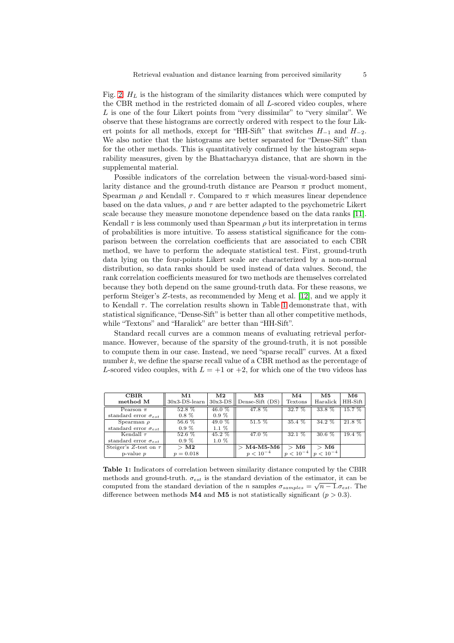Fig. [2:](#page-4-1)  $H_L$  is the histogram of the similarity distances which were computed by the CBR method in the restricted domain of all L-scored video couples, where  $L$  is one of the four Likert points from "very dissimilar" to "very similar". We observe that these histograms are correctly ordered with respect to the four Likert points for all methods, except for "HH-Sift" that switches  $H_{-1}$  and  $H_{-2}$ . We also notice that the histograms are better separated for "Dense-Sift" than for the other methods. This is quantitatively confirmed by the histogram separability measures, given by the Bhattacharyya distance, that are shown in the supplemental material.

Possible indicators of the correlation between the visual-word-based similarity distance and the ground-truth distance are Pearson  $\pi$  product moment, Spearman  $\rho$  and Kendall  $\tau$ . Compared to  $\pi$  which measures linear dependence based on the data values,  $\rho$  and  $\tau$  are better adapted to the psychometric Likert scale because they measure monotone dependence based on the data ranks [\[11\]](#page-8-10). Kendall  $\tau$  is less commonly used than Spearman  $\rho$  but its interpretation in terms of probabilities is more intuitive. To assess statistical significance for the comparison between the correlation coefficients that are associated to each CBR method, we have to perform the adequate statistical test. First, ground-truth data lying on the four-points Likert scale are characterized by a non-normal distribution, so data ranks should be used instead of data values. Second, the rank correlation coefficients measured for two methods are themselves correlated because they both depend on the same ground-truth data. For these reasons, we perform Steiger's Z-tests, as recommended by Meng et al. [\[12\]](#page-8-11), and we apply it to Kendall  $\tau$ . The correlation results shown in Table [1](#page-5-0) demonstrate that, with statistical significance, "Dense-Sift" is better than all other competitive methods, while "Textons" and "Haralick" are better than "HH-Sift".

Standard recall curves are a common means of evaluating retrieval performance. However, because of the sparsity of the ground-truth, it is not possible to compute them in our case. Instead, we need "sparse recall" curves. At a fixed number  $k$ , we define the sparse recall value of a CBR method as the percentage of L-scored video couples, with  $L = +1$  or  $+2$ , for which one of the two videos has

<span id="page-5-0"></span>

| CBIR.                         | M1               | M2        | MЗ                               | $\mathbf{M}4$ | M5              | M6.      |
|-------------------------------|------------------|-----------|----------------------------------|---------------|-----------------|----------|
| method M                      | $30x3$ -DS-learn | $30x3-DS$ | Dense-Sift (DS)                  | Textons       | Haralick        | HH-Sift  |
| Pearson $\pi$                 | $52.8\%$         | 46.0 $%$  | 47.8 %                           | 32.7%         | $33.8\%$        | $15.7\%$ |
| standard error $\sigma_{est}$ | $0.8\%$          | $0.9\%$   |                                  |               |                 |          |
| Spearman $\rho$               | 56.6 %           | 49.0 $%$  | $51.5\%$                         | 35.4 %        | $34.2\%$        | 21.8 %   |
| standard error $\sigma_{est}$ | $0.9\%$          | $1.1\%$   |                                  |               |                 |          |
| Kendall $\tau$                | $52.6\%$         | $45.2\%$  | 47.0 %                           | $32.1\%$      | $30.6\%$        | $19.4\%$ |
| standard error $\sigma_{est}$ | $0.9\%$          | $1.0\%$   |                                  |               |                 |          |
| Steiger's Z-test on $\tau$    | $>$ M2           |           | ${\rm >~M4\text{-}M5\text{-}M6}$ | ${\rm >M6}$   | $> \mathbf{M6}$ |          |
| $p$ -value $p$                | $p = 0.018$      |           | $p < 10^{-4}$                    | $p < 10^{-4}$ | $p < 10^{-4}$   |          |

Table 1: Indicators of correlation between similarity distance computed by the CBIR methods and ground-truth.  $\sigma_{est}$  is the standard deviation of the estimator, it can be computed from the standard deviation of the n samples  $\sigma_{samples} = \sqrt{n-1} \sigma_{est}$ . The difference between methods  $\mathbf{M4}$  and  $\mathbf{M5}$  is not statistically significant ( $p > 0.3$ ).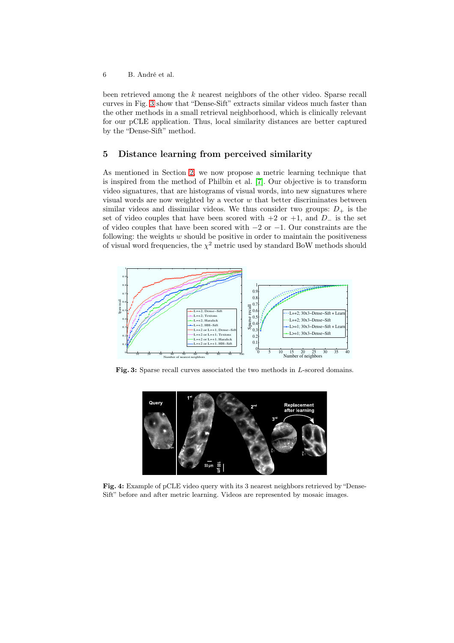been retrieved among the k nearest neighbors of the other video. Sparse recall curves in Fig. [3](#page-6-1) show that "Dense-Sift" extracts similar videos much faster than the other methods in a small retrieval neighborhood, which is clinically relevant for our pCLE application. Thus, local similarity distances are better captured by the "Dense-Sift" method.

#### <span id="page-6-0"></span>5 Distance learning from perceived similarity

As mentioned in Section [2,](#page-2-0) we now propose a metric learning technique that is inspired from the method of Philbin et al. [\[7\]](#page-8-6). Our objective is to transform video signatures, that are histograms of visual words, into new signatures where visual words are now weighted by a vector  $w$  that better discriminates between similar videos and dissimilar videos. We thus consider two groups:  $D_+$  is the set of video couples that have been scored with  $+2$  or  $+1$ , and  $D_-\$  is the set of video couples that have been scored with −2 or −1. Our constraints are the following: the weights  $w$  should be positive in order to maintain the positiveness of visual word frequencies, the  $\chi^2$  metric used by standard BoW methods should

<span id="page-6-1"></span>

Fig. 3: Sparse recall curves associated the two methods in L-scored domains.

<span id="page-6-2"></span>

Fig. 4: Example of pCLE video query with its 3 nearest neighbors retrieved by "Dense-Sift" before and after metric learning. Videos are represented by mosaic images.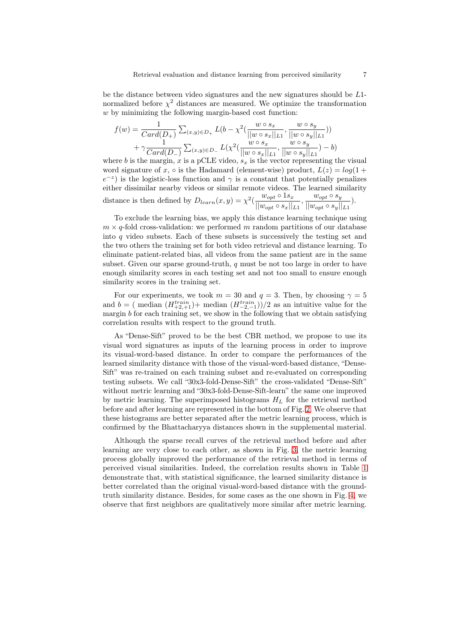be the distance between video signatures and the new signatures should be L1 normalized before  $\chi^2$  distances are measured. We optimize the transformation  $w$  by minimizing the following margin-based cost function:

$$
f(w) = \frac{1}{Card(D_{+})} \sum_{(x,y)\in D_{+}} L(b - \chi^{2}(\frac{w \circ s_{x}}{||w \circ s_{x}||_{L1}}, \frac{w \circ s_{y}}{||w \circ s_{y}||_{L1}}))
$$
  
+  $\gamma \frac{1}{Card(D_{-})} \sum_{(x,y)\in D_{-}} L(\chi^{2}(\frac{w \circ s_{x}}{||w \circ s_{x}||_{L1}}, \frac{w \circ s_{y}}{||w \circ s_{y}||_{L1}}) - b)$ 

where b is the margin, x is a pCLE video,  $s_x$  is the vector representing the visual word signature of x,  $\circ$  is the Hadamard (element-wise) product,  $L(z) = log(1 +$  $e^{-z}$ ) is the logistic-loss function and  $\gamma$  is a constant that potentially penalizes either dissimilar nearby videos or similar remote videos. The learned similarity distance is then defined by  $D_{learn}(x, y) = \chi^2(\frac{w_{opt} \circ 1s_x}{\lim_{n \to \infty} \chi^2})$  $\frac{w_{opt} \circ 1 s_x}{||w_{opt} \circ s_x||_{L1}}, \frac{w_{opt} \circ s_y}{||w_{opt} \circ s_y||}$  $\frac{d}{\|w_{opt} \circ s_y\|_{L1}}).$ 

To exclude the learning bias, we apply this distance learning technique using  $m \times q$ -fold cross-validation: we performed m random partitions of our database into q video subsets. Each of these subsets is successively the testing set and the two others the training set for both video retrieval and distance learning. To eliminate patient-related bias, all videos from the same patient are in the same subset. Given our sparse ground-truth,  $q$  must be not too large in order to have enough similarity scores in each testing set and not too small to ensure enough similarity scores in the training set.

For our experiments, we took  $m = 30$  and  $q = 3$ . Then, by choosing  $\gamma = 5$ and  $b = ($  median  $(H_{+2,+1}^{train}) +$  median  $(H_{-2,-1}^{train})/2$  as an intuitive value for the margin  $b$  for each training set, we show in the following that we obtain satisfying correlation results with respect to the ground truth.

As "Dense-Sift" proved to be the best CBR method, we propose to use its visual word signatures as inputs of the learning process in order to improve its visual-word-based distance. In order to compare the performances of the learned similarity distance with those of the visual-word-based distance, "Dense-Sift" was re-trained on each training subset and re-evaluated on corresponding testing subsets. We call "30x3-fold-Dense-Sift" the cross-validated "Dense-Sift" without metric learning and "30x3-fold-Dense-Sift-learn" the same one improved by metric learning. The superimposed histograms  $H_L$  for the retrieval method before and after learning are represented in the bottom of Fig. [2.](#page-4-1) We observe that these histograms are better separated after the metric learning process, which is confirmed by the Bhattacharyya distances shown in the supplemental material.

Although the sparse recall curves of the retrieval method before and after learning are very close to each other, as shown in Fig. [3,](#page-6-1) the metric learning process globally improved the performance of the retrieval method in terms of perceived visual similarities. Indeed, the correlation results shown in Table [1](#page-5-0) demonstrate that, with statistical significance, the learned similarity distance is better correlated than the original visual-word-based distance with the groundtruth similarity distance. Besides, for some cases as the one shown in Fig. [4,](#page-6-2) we observe that first neighbors are qualitatively more similar after metric learning.